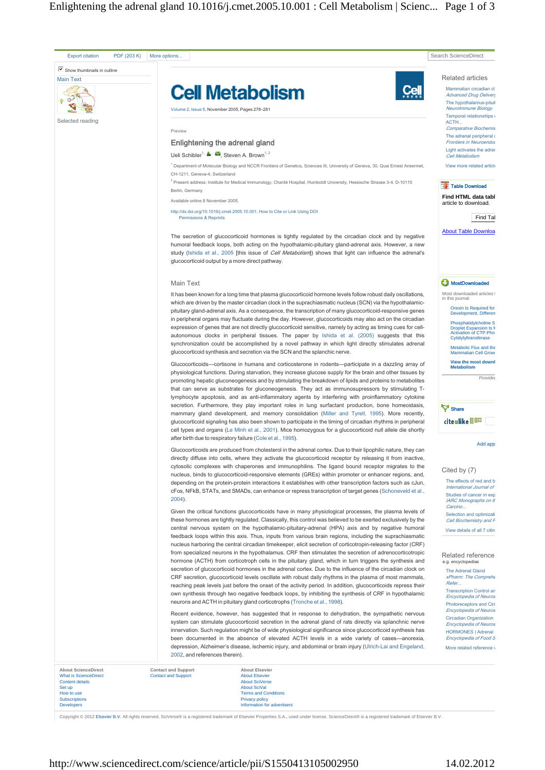

Copyright © 2012 Elsevier B.V. All rights reserved. SciVerse® is a registered trademark of Elsevier Properties S.A., used under license. ScienceDirect® is a registered trademark of Elsevier B.V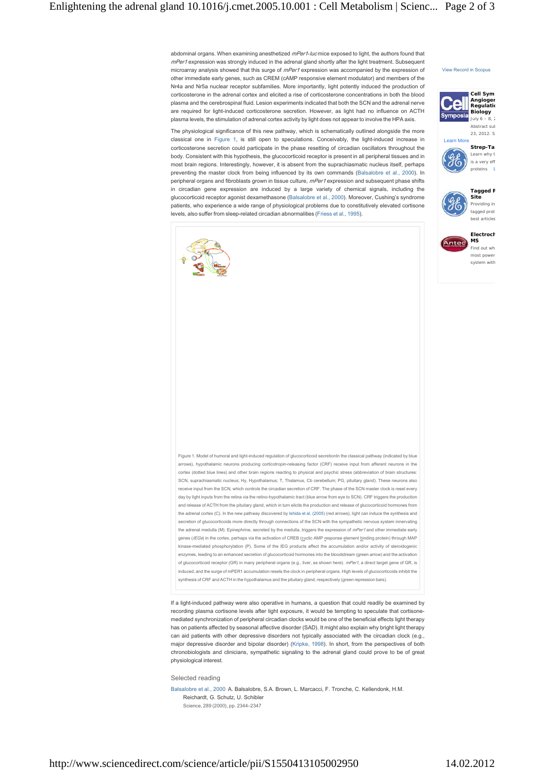abdominal organs. When examining anesthetized mPer1-luc mice exposed to light, the authors found that mPer1 expression was strongly induced in the adrenal gland shortly after the light treatment. Subsequent microarray analysis showed that this surge of *mPer1* expression was accompanied by the expression of other immediate early genes, such as CREM (cAMP responsive element modulator) and members of the Nr4a and Nr5a nuclear receptor subfamilies. More importantly, light potently induced the production of corticosterone in the adrenal cortex and elicited a rise of corticosterone concentrations in both the blood plasma and the cerebrospinal fluid. Lesion experiments indicated that both the SCN and the adrenal nerve are required for light-induced corticosterone secretion. However, as light had no influence on ACTH plasma levels, the stimulation of adrenal cortex activity by light does not appear to involve the HPA axis.

The physiological significance of this new pathway, which is schematically outlined alongside the more classical one in Figure 1, is still open to speculations. Conceivably, the light-induced increase in corticosterone secretion could participate in the phase resetting of circadian oscillators throughout the body. Consistent with this hypothesis, the glucocorticoid receptor is present in all peripheral tissues and in most brain regions. Interestingly, however, it is absent from the suprachiasmatic nucleus itself, perhaps preventing the master clock from being influenced by its own commands (Balsalobre et al., 2000). In peripheral organs and fibroblasts grown in tissue culture, mPer1 expression and subsequent phase shifts in circadian gene expression are induced by a large variety of chemical signals, including the glucocorticoid receptor agonist dexamethasone (Balsalobre et al., 2000). Moreover, Cushing's syndrome patients, who experience a wide range of physiological problems due to constitutively elevated cortisone levels, also suffer from sleep-related circadian abnormalities (Friess et al., 1995).



If a light-induced pathway were also operative in humans, a question that could readily be examined by recording plasma cortisone levels after light exposure, it would be tempting to speculate that cortisonemediated synchronization of peripheral circadian clocks would be one of the beneficial effects light therapy has on patients affected by seasonal affective disorder (SAD). It might also explain why bright light therapy can aid patients with other depressive disorders not typically associated with the circadian clock (e.g., major depressive disorder and bipolar disorder) (Kripke, 1998). In short, from the perspectives of both chronobiologists and clinicians, sympathetic signaling to the adrenal gland could prove to be of great physiological interest.

Selected reading

Balsalobre et al., 2000 A. Balsalobre, S.A. Brown, L. Marcacci, F. Tronche, C. Kellendonk, H.M. Reichardt, G. Schutz, U. Schibler Science, 289 (2000), pp. 2344–2347

View Record in Scopus

Learn More

সঁত

Antec

**Cell Sym Angiogen Regulatio Biology** July 6 – 8, 2 Abstract sul 23, 2012. S

**Strep-Ta** Learn why t is a very eff proteins L

**Tagged P Site** Providing in tagged prot best articles **Electroch MS** Find out wh most power system with